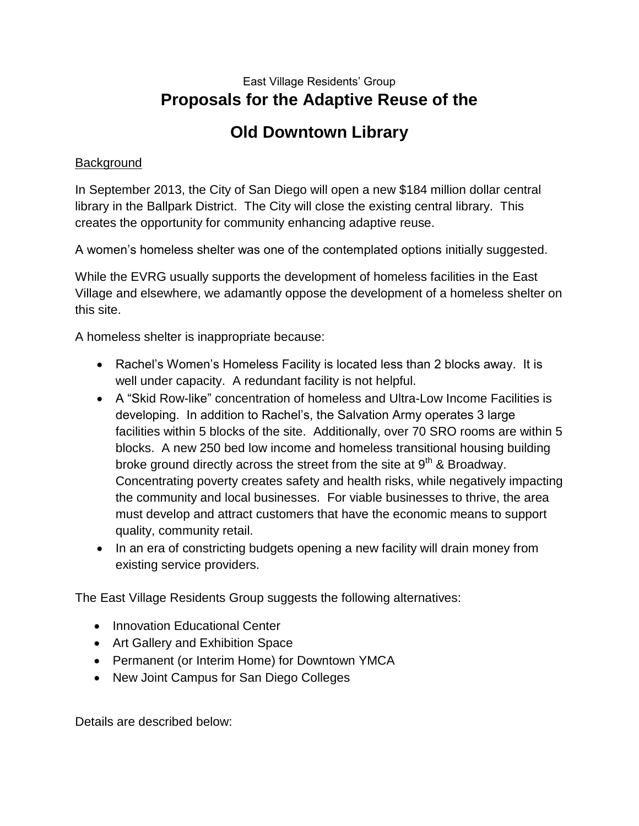#### East Village Residents' Group **Proposals for the Adaptive Reuse of the**

## **Old Downtown Library**

#### **Background**

In September 2013, the City of San Diego will open a new \$184 million dollar central library in the Ballpark District. The City will close the existing central library. This creates the opportunity for community enhancing adaptive reuse.

A women's homeless shelter was one of the contemplated options initially suggested.

While the EVRG usually supports the development of homeless facilities in the East Village and elsewhere, we adamantly oppose the development of a homeless shelter on this site.

A homeless shelter is inappropriate because:

- Rachel's Women's Homeless Facility is located less than 2 blocks away. It is well under capacity. A redundant facility is not helpful.
- A "Skid Row-like" concentration of homeless and Ultra-Low Income Facilities is developing. In addition to Rachel's, the Salvation Army operates 3 large facilities within 5 blocks of the site. Additionally, over 70 SRO rooms are within 5 blocks. A new 250 bed low income and homeless transitional housing building broke ground directly across the street from the site at  $9<sup>th</sup>$  & Broadway. Concentrating poverty creates safety and health risks, while negatively impacting the community and local businesses. For viable businesses to thrive, the area must develop and attract customers that have the economic means to support quality, community retail.
- In an era of constricting budgets opening a new facility will drain money from existing service providers.

The East Village Residents Group suggests the following alternatives:

- Innovation Educational Center
- Art Gallery and Exhibition Space
- Permanent (or Interim Home) for Downtown YMCA
- New Joint Campus for San Diego Colleges

Details are described below: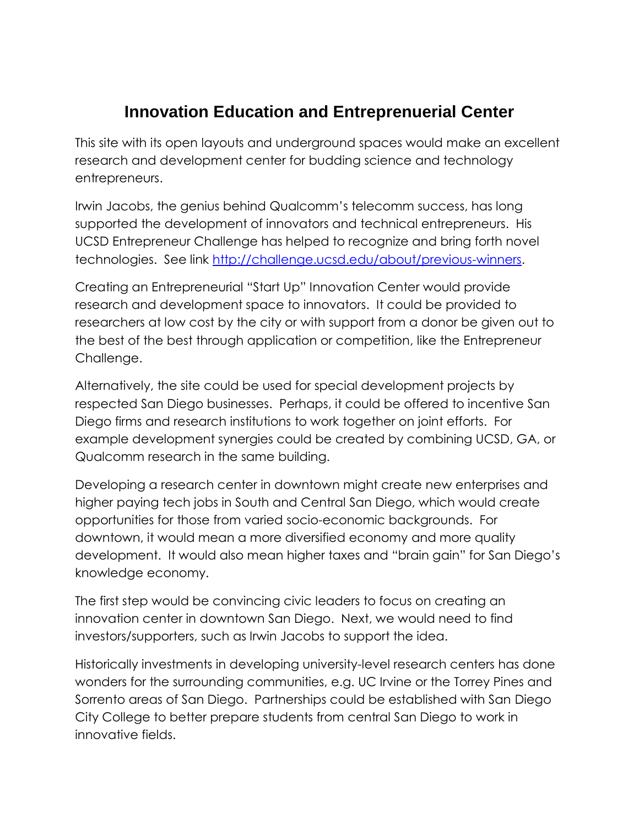## **Innovation Education and Entreprenuerial Center**

This site with its open layouts and underground spaces would make an excellent research and development center for budding science and technology entrepreneurs.

Irwin Jacobs, the genius behind Qualcomm's telecomm success, has long supported the development of innovators and technical entrepreneurs. His UCSD Entrepreneur Challenge has helped to recognize and bring forth novel technologies. See link [http://challenge.ucsd.edu/about/previous-winners.](http://challenge.ucsd.edu/about/previous-winners)

Creating an Entrepreneurial "Start Up" Innovation Center would provide research and development space to innovators. It could be provided to researchers at low cost by the city or with support from a donor be given out to the best of the best through application or competition, like the Entrepreneur Challenge.

Alternatively, the site could be used for special development projects by respected San Diego businesses. Perhaps, it could be offered to incentive San Diego firms and research institutions to work together on joint efforts. For example development synergies could be created by combining UCSD, GA, or Qualcomm research in the same building.

Developing a research center in downtown might create new enterprises and higher paying tech jobs in South and Central San Diego, which would create opportunities for those from varied socio-economic backgrounds. For downtown, it would mean a more diversified economy and more quality development. It would also mean higher taxes and "brain gain" for San Diego's knowledge economy.

The first step would be convincing civic leaders to focus on creating an innovation center in downtown San Diego. Next, we would need to find investors/supporters, such as Irwin Jacobs to support the idea.

Historically investments in developing university-level research centers has done wonders for the surrounding communities, e.g. UC Irvine or the Torrey Pines and Sorrento areas of San Diego. Partnerships could be established with San Diego City College to better prepare students from central San Diego to work in innovative fields.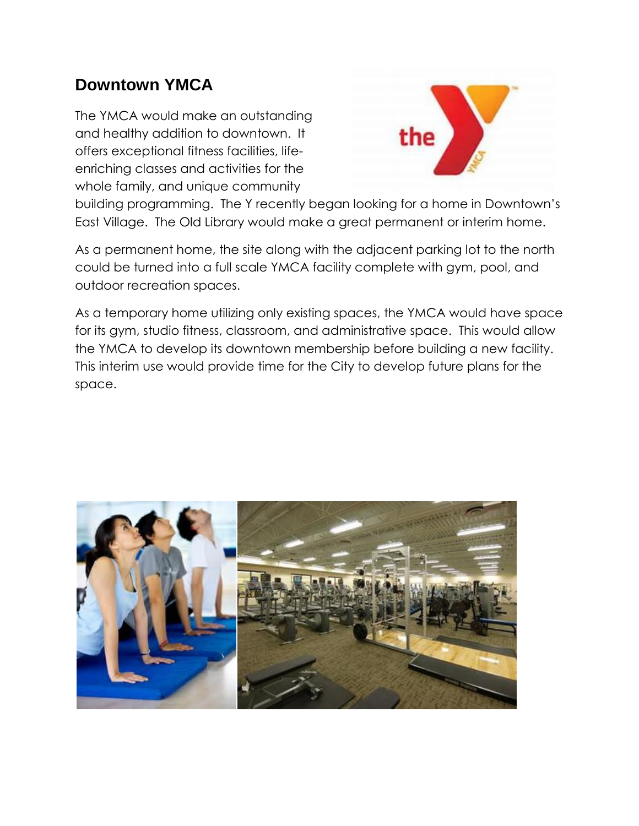## **Downtown YMCA**

The YMCA would make an outstanding and healthy addition to downtown. It offers exceptional fitness facilities, lifeenriching classes and activities for the whole family, and unique community



building programming. The Y recently began looking for a home in Downtown's East Village. The Old Library would make a great permanent or interim home.

As a permanent home, the site along with the adjacent parking lot to the north could be turned into a full scale YMCA facility complete with gym, pool, and outdoor recreation spaces.

As a temporary home utilizing only existing spaces, the YMCA would have space for its gym, studio fitness, classroom, and administrative space. This would allow the YMCA to develop its downtown membership before building a new facility. This interim use would provide time for the City to develop future plans for the space.

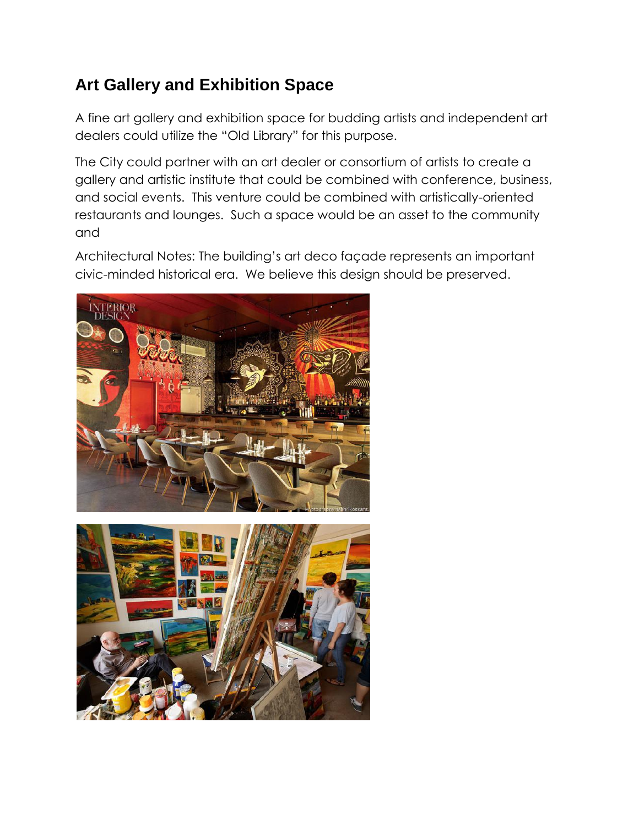# **Art Gallery and Exhibition Space**

A fine art gallery and exhibition space for budding artists and independent art dealers could utilize the "Old Library" for this purpose.

The City could partner with an art dealer or consortium of artists to create a gallery and artistic institute that could be combined with conference, business, and social events. This venture could be combined with artistically-oriented restaurants and lounges. Such a space would be an asset to the community and

Architectural Notes: The building's art deco façade represents an important civic-minded historical era. We believe this design should be preserved.